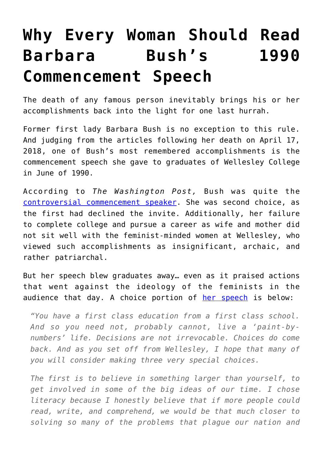## **[Why Every Woman Should Read](https://intellectualtakeout.org/2018/04/why-every-woman-should-read-barbara-bushs-1990-commencement-speech/) [Barbara Bush's 1990](https://intellectualtakeout.org/2018/04/why-every-woman-should-read-barbara-bushs-1990-commencement-speech/) [Commencement Speech](https://intellectualtakeout.org/2018/04/why-every-woman-should-read-barbara-bushs-1990-commencement-speech/)**

The death of any famous person inevitably brings his or her accomplishments back into the light for one last hurrah.

Former first lady Barbara Bush is no exception to this rule. And judging from the articles following her death on April 17, 2018, one of Bush's most remembered accomplishments is the commencement speech she gave to graduates of Wellesley College in June of 1990.

According to *The Washington Post,* Bush was quite the [controversial commencement speaker.](https://www.washingtonpost.com/news/retropolis/wp/2018/04/18/find-the-joy-the-day-barbara-bush-wowed-wellesley-even-her-feminist-protesters/?utm_term=.839b77b1148c) She was second choice, as the first had declined the invite. Additionally, her failure to complete college and pursue a career as wife and mother did not sit well with the feminist-minded women at Wellesley, who viewed such accomplishments as insignificant, archaic, and rather patriarchal.

But her speech blew graduates away… even as it praised actions that went against the ideology of the feminists in the audience that day. A choice portion of [her speech](http://www.americanrhetoric.com/speeches/barbarabushwellesleycommencement.htm) is below:

*"You have a first class education from a first class school. And so you need not, probably cannot, live a 'paint-bynumbers' life. Decisions are not irrevocable. Choices do come back. And as you set off from Wellesley, I hope that many of you will consider making three very special choices.*

*The first is to believe in something larger than yourself, to get involved in some of the big ideas of our time. I chose literacy because I honestly believe that if more people could read, write, and comprehend, we would be that much closer to solving so many of the problems that plague our nation and*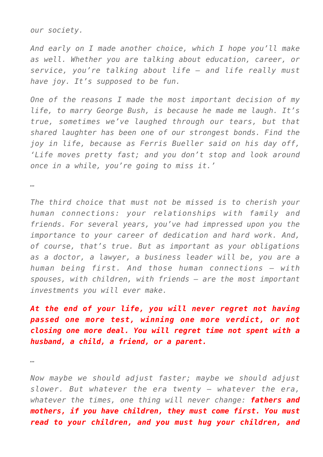*our society.*

*And early on I made another choice, which I hope you'll make as well. Whether you are talking about education, career, or service, you're talking about life — and life really must have joy. It's supposed to be fun.*

*One of the reasons I made the most important decision of my life, to marry George Bush, is because he made me laugh. It's true, sometimes we've laughed through our tears, but that shared laughter has been one of our strongest bonds. Find the joy in life, because as Ferris Bueller said on his day off, 'Life moves pretty fast; and you don't stop and look around once in a while, you're going to miss it.'*

*…*

*The third choice that must not be missed is to cherish your human connections: your relationships with family and friends. For several years, you've had impressed upon you the importance to your career of dedication and hard work. And, of course, that's true. But as important as your obligations as a doctor, a lawyer, a business leader will be, you are a human being first. And those human connections — with spouses, with children, with friends — are the most important investments you will ever make.*

*At the end of your life, you will never regret not having passed one more test, winning one more verdict, or not closing one more deal. You will regret time not spent with a husband, a child, a friend, or a parent.*

*…*

*Now maybe we should adjust faster; maybe we should adjust slower. But whatever the era twenty — whatever the era, whatever the times, one thing will never change: fathers and mothers, if you have children, they must come first. You must read to your children, and you must hug your children, and*